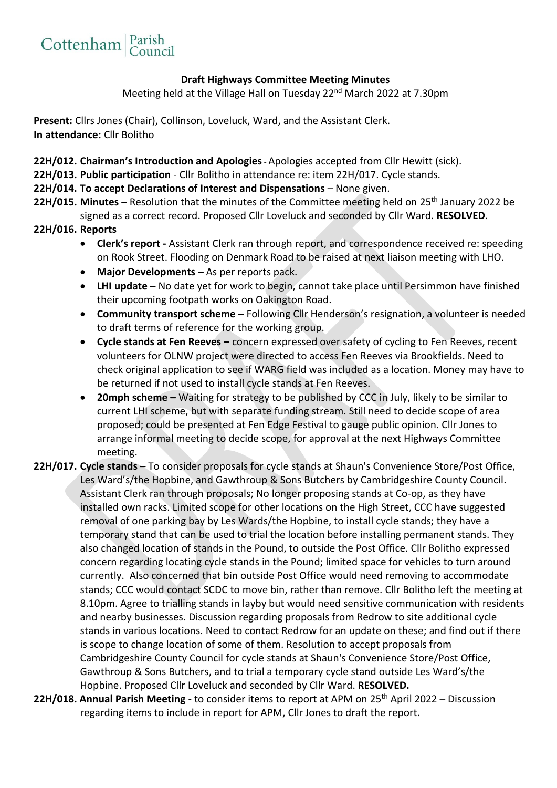

## **Draft Highways Committee Meeting Minutes**

Meeting held at the Village Hall on Tuesday 22<sup>nd</sup> March 2022 at 7.30pm

**Present:** Cllrs Jones (Chair), Collinson, Loveluck, Ward, and the Assistant Clerk. **In attendance:** Cllr Bolitho

**22H/012. Chairman's Introduction and Apologies-** Apologies accepted from Cllr Hewitt (sick).

**22H/013. Public participation** - Cllr Bolitho in attendance re: item 22H/017. Cycle stands.

## **22H/014. To accept Declarations of Interest and Dispensations** – None given.

**22H/015. Minutes** – Resolution that the minutes of the Committee meeting held on 25<sup>th</sup> January 2022 be signed as a correct record. Proposed Cllr Loveluck and seconded by Cllr Ward. **RESOLVED**.

## **22H/016. Reports**

- **Clerk's report -** Assistant Clerk ran through report, and correspondence received re: speeding on Rook Street. Flooding on Denmark Road to be raised at next liaison meeting with LHO.
- **Major Developments –** As per reports pack.
- **LHI update –** No date yet for work to begin, cannot take place until Persimmon have finished their upcoming footpath works on Oakington Road.
- **Community transport scheme –** Following Cllr Henderson's resignation, a volunteer is needed to draft terms of reference for the working group.
- **Cycle stands at Fen Reeves –** concern expressed over safety of cycling to Fen Reeves, recent volunteers for OLNW project were directed to access Fen Reeves via Brookfields. Need to check original application to see if WARG field was included as a location. Money may have to be returned if not used to install cycle stands at Fen Reeves.
- **20mph scheme –** Waiting for strategy to be published by CCC in July, likely to be similar to current LHI scheme, but with separate funding stream. Still need to decide scope of area proposed; could be presented at Fen Edge Festival to gauge public opinion. Cllr Jones to arrange informal meeting to decide scope, for approval at the next Highways Committee meeting.
- **22H/017. Cycle stands –** To consider proposals for cycle stands at Shaun's Convenience Store/Post Office, Les Ward's/the Hopbine, and Gawthroup & Sons Butchers by Cambridgeshire County Council. Assistant Clerk ran through proposals; No longer proposing stands at Co-op, as they have installed own racks. Limited scope for other locations on the High Street, CCC have suggested removal of one parking bay by Les Wards/the Hopbine, to install cycle stands; they have a temporary stand that can be used to trial the location before installing permanent stands. They also changed location of stands in the Pound, to outside the Post Office. Cllr Bolitho expressed concern regarding locating cycle stands in the Pound; limited space for vehicles to turn around currently. Also concerned that bin outside Post Office would need removing to accommodate stands; CCC would contact SCDC to move bin, rather than remove. Cllr Bolitho left the meeting at 8.10pm. Agree to trialling stands in layby but would need sensitive communication with residents and nearby businesses. Discussion regarding proposals from Redrow to site additional cycle stands in various locations. Need to contact Redrow for an update on these; and find out if there is scope to change location of some of them. Resolution to accept proposals from Cambridgeshire County Council for cycle stands at Shaun's Convenience Store/Post Office, Gawthroup & Sons Butchers, and to trial a temporary cycle stand outside Les Ward's/the Hopbine. Proposed Cllr Loveluck and seconded by Cllr Ward. **RESOLVED.**
- **22H/018. Annual Parish Meeting** to consider items to report at APM on 25<sup>th</sup> April 2022 Discussion regarding items to include in report for APM, Cllr Jones to draft the report.